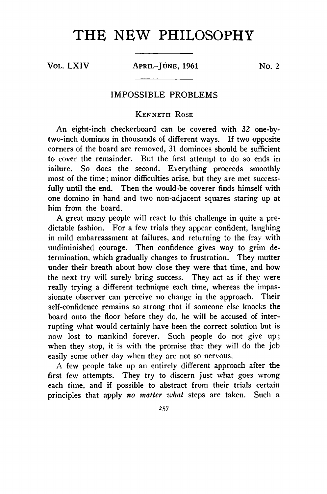## THE NEW PHILOSOPHY

VOL. LXIV APRIL-JUNE, 1961 No. 2

## IM POSSIBLE PROBLEMS

## **Kenneth Rose**

An eight-inch checkerboard can be covered with 32 one-bytwo-inch dominos in thousands of different ways. If two opposite corners of the board are removed, 31 dominoes should be sufficient to cover the remainder. But the first attempt to do so ends in failure. So does the second. Everything proceeds smoothly most of the time; minor difficulties arise, but they are met successfully until the end. Then the would-be coverer finds himself with one domino in hand and two non-adjacent squares staring up at him from the board.

A great many people will react to this challenge in quite a predictable fashion. For a few trials they appear confident, laughing in mild embarrassment at failures, and returning to the fray with undiminished courage. Then confidence gives way to grim determination, which gradually changes to frustration. They mutter under their breath about how close they were that time, and how the next try will surely bring success. They act as if they were really trying a different technique each time, whereas the impassionate observer can perceive no change in the approach. Their self-confidence remains so strong that if someone else knocks the board onto the floor before they do, he will be accused of interrupting what would certainly have been the correct solution but is now lost to mankind forever. Such people do not give up; when they stop, it is with the promise that they will do the job easily some other day when they are not so nervous.

A few people take up an entirely different approach after the first few attempts. They try to discern just what goes wrong each time, and if possible to abstract from their trials certain principles that apply *no matter what* steps are taken. Such a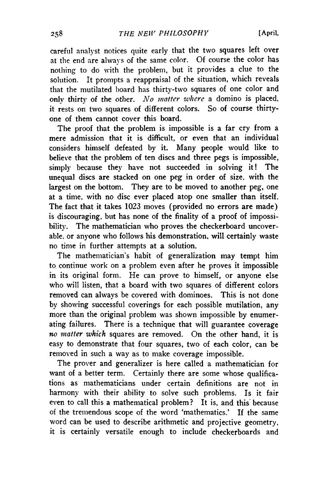careful analyst notices quite early that the two squares left over at the end are always of the same color. Of course the color has nothing to do with the problem, but it provides a clue to the solution. It prompts a reappraisal of the situation, which reveals that the mutilated board has thirty-two squares of one color and only thirty of the *other. No matter where* a domino is placed, it rests on two squares of different colors. So of course thirtyone of them cannot cover this board.

The proof that the problem is impossible is a far cry from a mere admission that it is difficult, or even that an individual considers himself defeated by it. Many people would like to believe that the problem of ten discs and three pegs is impossible, simply because they have not succeeded in solving it! The unequal discs are stacked on one peg in order of size, with the largest on the bottom. They are to be moved to another peg, one at a time, with no disc ever placed atop one smaller than itself. The fact that it takes 1023 moves (provided no errors are made) is discouraging, but has none of the finality of a proof of impossibility. The mathematician who proves the checkerboard uncoverable, or anyone who follows his demonstration, will certainly waste no time in further attempts at a solution.

The mathematician's habit of generalization may tempt him to continue work on a problem even after he proves it impossible in its original form. He can prove to himself, or anyone else who will listen, that a board with two squares of different colors removed can always be covered with dominoes. This is not done by showing successful coverings for each possible mutilation, any more than the original problem was shown impossible by enumerating failures. There is a technique that will guarantee coverage no matter which squares are removed. On the other hand, it is easy to demonstrate that four squares, two of each color, can be removed in such a way as to make coverage impossible.

The prover and generalizer is here called a mathematician for want of a better term. Certainly there are some whose qualifications as mathematicians under certain definitions are not in harmony with their ability to solve such problems. Is it fair even to call this a mathematical problem? It is, and this because of the tremendous scope of the word 'mathematics.' If the same word can be used to describe arithmetic and projective geometry, it is certainly versatile enough to include checkerboards and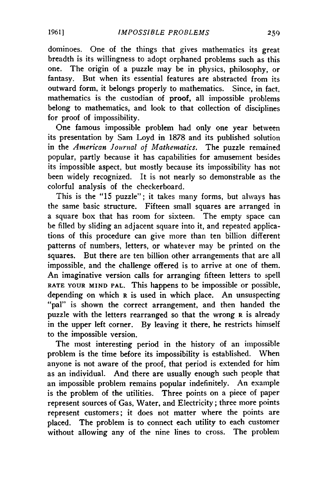dominoes. One of the things that gives mathematics its great breadth is its willingness to adopt orphaned problems such as this one. The origin of a puzzle may be in physics, philosophy, or fantasy. But when its essential features are abstracted from its outward form, it belongs properly to mathematics. Since, in fact, mathematics is the custodian of **proof**, all impossible problems belong to mathematics, and look to that collection of disciplines for proof of impossibility.

One famous impossible problem had only one year between its presentation by Sam Loyd in 1878 and its published solution in the *American Journal of Mathematics.* The puzzle remained popular, partly because it has capabilities for amusement besides its impossible aspect, but mostly because its impossibility has not been widely recognized. It is not nearly so demonstrable as the colorful analysis of the checkerboard.

This is the "15 puzzle"; it takes many forms, but always has the same basic structure. Fifteen small squares are arranged in a square box that has room for sixteen. The empty space can be filled by sliding an adjacent square into it, and repeated applications of this procedure can give more than ten billion different patterns of numbers, letters, or whatever may be printed on the squares. But there are ten billion other arrangements that are all impossible, and the challenge offered is to arrive at one of them. An imaginative version calls for arranging fifteen letters to spell **ra te your mind pal.** This happens to be impossible or possible, depending on which **r** is used in which place. An unsuspecting "pal" is shown the correct arrangement, and then handed the puzzle with the letters rearranged so that the wrong **r** is already in the upper left corner. By leaving it there, he restricts himself to the impossible version.

The most interesting period in the history of an impossible problem is the time before its impossibility is established. When anyone is not aware of the proof, that period is extended for him as an individual. And there are usually enough such people that an impossible problem remains popular indefinitely. An example is the problem of the utilities. Three points on a piece of paper represent sources of Gas, Water, and Electricity; three more points represent customers; it does not matter where the points are placed. The problem is to connect each utility to each customer without allowing any of the nine lines to cross. The problem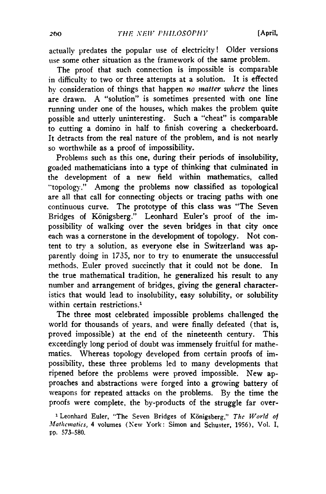actually predates the popular use of electricity! Older versions use some other situation as the framework of the same problem.

The proof that such connection is impossible is comparable in difficulty to two or three attempts at a solution. It is effected by consideration of things that happen *no matter where* the lines are drawn. A "solution" is sometimes presented with one line running under one of the houses, which makes the problem quite possible and utterly uninteresting. Such a "cheat" is comparable to cutting a domino in half to finish covering a checkerboard. It detracts from the real nature of the problem, and is not nearly so worthwhile as a proof of impossibility.

Problems such as this one, during their periods of insolubility, goaded mathematicians into a type of thinking that culminated in the development of a new field within mathematics, called "topology." Among the problems now classified as topological are all that call for connecting objects or tracing paths with one continuous curve. The prototype of this class was "The Seven Bridges of Königsberg." Leonhard Euler's proof of the impossibility of walking over the seven bridges in that city once each was a cornerstone in the development of topology. Not content to try a solution, as everyone else in Switzerland was apparently doing in 1735, nor to try to enumerate the unsuccessful methods. Euler proved succinctly that it could not be done. In the true mathematical tradition, he generalized his result to any number and arrangement of bridges, giving the general characteristics that would lead to insolubility, easy solubility, or solubility within certain restrictions**.1**

The three most celebrated impossible problems challenged the world for thousands of years, and were finally defeated (that is, proved impossible) at the end of the nineteenth century. This exceedingly long period of doubt was immensely fruitful for mathematics. Whereas topology developed from certain proofs of impossibility, these three problems led to many developments that ripened before the problems were proved impossible. New approaches and abstractions were forged into a growing battery of weapons for repeated attacks on the problems. By the time the proofs were complete, the by-products of the struggle far over-

1 Leonhard Euler, "The Seven Bridges of Konigsberg," *The World of Mathematics,* 4 volumes (New York: Simon and Schuster, 1956), Vol. I, pp. 573-580.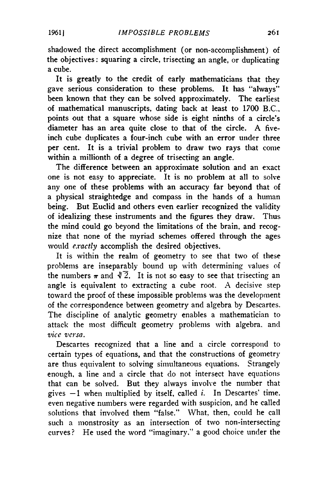shadowed the direct accomplishment (or non-accomplishment) of the objectives: squaring a circle, trisecting an angle, or duplicating a cube.

It is greatly to the credit of early mathematicians that they gave serious consideration to these problems. It has "always" been known that they can be solved approximately. The earliest of mathematical manuscripts, dating back at least to 1700 B.C., points out that a square whose side is eight ninths of a circle's diameter has an area quite close to that of the circle. A fiveinch cube duplicates a four-inch cube with an error under three per cent. It is a trivial problem to draw two rays that come within a millionth of a degree of trisecting an angle.

The difference between an approximate solution and an exact one is not easy to appreciate. It is no problem at all to solve any one of these problems with an accuracy far beyond that of a physical straightedge and compass in the hands of a human being. But Euclid and others even earlier recognized the validity of idealizing these instruments and the figures they draw. Thus the mind could go beyond the limitations of the brain, and recognize that none of the myriad schemes offered through the ages would *exactly* accomplish the desired objectives.

It is within the realm of geometry to see that two of these problems are inseparably bound up with determining values of the numbers  $\pi$  and  $\sqrt[3]{2}$ . It is not so easy to see that trisecting an angle is equivalent to extracting a cube root. A decisive step toward the proof of these impossible problems was the development of the correspondence between geometry and algebra by Descartes. The discipline of analytic geometry enables a mathematician to attack the most difficult geometry problems with algebra, and *vice versa.*

Descartes recognized that a line and a circle correspond to certain types of equations, and that the constructions of geometry are thus equivalent to solving simultaneous equations. Strangely enough, a line and a circle that do not intersect have equations that can be solved. But they always involve the number that gives —1 when multiplied by itself, called *i.* In Descartes' time, even negative numbers were regarded with suspicion, and he called solutions that involved them "false." What, then, could he call such a monstrosity as an intersection of two non-intersecting curves? He used the word "imaginary," a good choice under the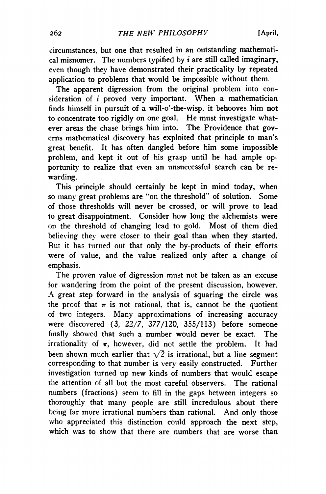circumstances, but one that resulted in an outstanding mathematical misnomer. The numbers typified by *i* are still called imaginary, even though they have demonstrated their practicality by repeated application to problems that would be impossible without them.

The apparent digression from the original problem into consideration of  $i$  proved very important. When a mathematician finds himself in pursuit of a will-o'-the-wisp, it behooves him not to concentrate too rigidly on one goal. He must investigate whatever areas the chase brings him into. The Providence that governs mathematical discovery has exploited that principle to man's great benefit. It has often dangled before him some impossible problem, and kept it out of his grasp until he had ample opportunity to realize that even an unsuccessful search can be rewarding.

This principle should certainly be kept in mind today, when so many great problems are "on the threshold'' of solution. Some of those thresholds will never be crossed, or will prove to lead to great disappointment. Consider how long the alchemists were on the threshold of changing lead to gold. Most of them died believing they were closer to their goal than when they started. But it has turned out that only the by-products of their efforts were of value, and the value realized only after a change of emphasis.

The proven value of digression must not be taken as an excuse for wandering from the point of the present discussion, however. A great step forward in the analysis of squaring the circle was the proof that  $\pi$  is not rational, that is, cannot be the quotient of two integers. Many approximations of increasing accuracy were discovered (3, 22/7, 377/120, 355/113) before someone finally showed that such a number would never be exact. The irrationality of  $\pi$ , however, did not settle the problem. It had been shown much earlier that  $\sqrt{2}$  is irrational, but a line segment corresponding to that number is very easily constructed. Further investigation turned up new kinds of numbers that would escape the attention of all but the most careful observers. The rational numbers (fractions) seem to fill in the gaps between integers so thoroughly that many people are still incredulous about there being far more irrational numbers than rational. And only those who appreciated this distinction could approach the next step, which was to show that there are numbers that are worse than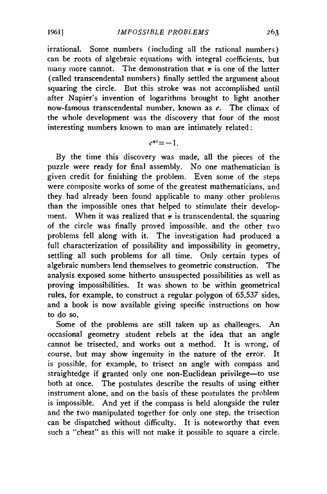irrational. Some numbers (including all the rational numbers) can be roots of algebraic equations with integral coefficients, but many more cannot. The demonstration that  $\pi$  is one of the latter (called transcendental numbers) finally settled the argument about squaring the circle. But this stroke was not accomplished until after Napier's invention of logarithms brought to light another now-famous transcendental number, known as *e.* The climax of the whole development was the discovery that four of the most interesting numbers known to man are intimately related:

 $e^{\pi i} = -1$ 

By the time this discovery was made, all the pieces of the puzzle were ready for final assembly. No one mathematician is given credit for finishing the problem. Even some of the steps were composite works of some of the greatest mathematicians, and they had already been found applicable to many other problems than the impossible ones that helped to stimulate their development. When it was realized that  $\pi$  is transcendental, the squaring of the circle was finally proved impossible, and the other two problems fell along with it. The investigation had produced a full characterization of possibility and impossibility in geometry, settling all such problems for all time. Only certain types of algebraic numbers lend themselves to geometric construction. The analysis exposed some hitherto unsuspected possibilities as well as proving impossibilities. It was shown to be within geometrical rules, for example, to construct a regular polygon of 65,537 sides, and a book is now available giving specific instructions on how to do so.

Some of the problems are still taken up as challenges. An occasional geometry student rebels at the idea that an angle cannot be trisected, and works out a method. It is wrong, of course, but may show ingenuity in the nature of the error. It is possible, for example, to trisect an angle with compass and straightedge if granted only one non-Euclidean privilege—to use both at once. The postulates describe the results of using either instrument alone, and on the basis of these postulates the problem is impossible. And yet if the compass is held alongside the ruler and the two manipulated together for only one step, the trisection can be dispatched without difficulty. It is noteworthy that even such a "cheat" as this will not make it possible to square a circle.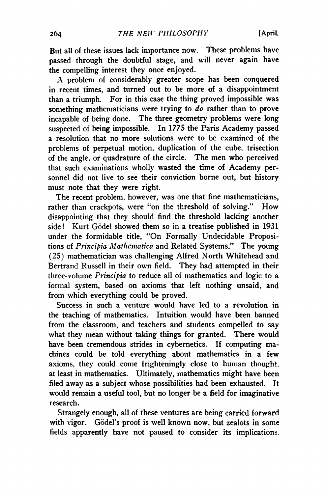But all of these issues lack importance now. These problems have passed through the doubtful stage, and will never again have the compelling interest they once enjoyed.

A problem of considerably greater scope has been conquered in recent times, and turned out to be more of a disappointment than a triumph. For in this case the thing proved impossible was something mathematicians were trying to *do* rather than to prove incapable of being done. The three geometry problems were long suspected of being impossible. In 1775 the Paris Academy passed a resolution that no more solutions were to be examined of the problems of perpetual motion, duplication of the cube, trisection of the angle, or quadrature of the circle. The men who perceived that such examinations wholly wasted the time of Academy personnel did not live to see their conviction borne out, but history must note that they were right.

The recent problem, however, was one that fine mathematicians, rather than crackpots, were "on the threshold of solving." How disappointing that they should find the threshold lacking another side! Kurt Godel showed them so in a treatise published in 1931 under the formidable title, "On Formally Undecidable Propositions of *Principia Mathcmatica* and Related Systems." The young (25) mathematician was challenging Alfred North Whitehead and Bertrand Russell in their own field. They had attempted in their three-volume *Principia* to reduce all of mathematics and logic to a formal system, based on axioms that left nothing unsaid, and from which everything could be proved.

Success in such a venture would have led to a revolution in the teaching of mathematics. Intuition would have been banned from the classroom, and teachers and students compelled to say what they mean without taking things for granted. There would have been tremendous strides in cybernetics. If computing machines could be told everything about mathematics in a few axioms, they could come frighteningly close to human thought, at least in mathematics. Ultimately, mathematics might have been filed away as a subject whose possibilities had been exhausted. It would remain a useful tool, but no longer be a field for imaginative research.

Strangely enough, all of these ventures are being carried forward with vigor. Gödel's proof is well known now, but zealots in some fields apparently have not paused to consider its implications.